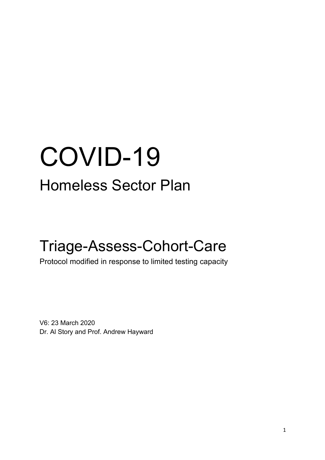# COVID-19 Homeless Sector Plan

# Triage-Assess-Cohort-Care

Protocol modified in response to limited testing capacity

V6: 23 March 2020 Dr. Al Story and Prof. Andrew Hayward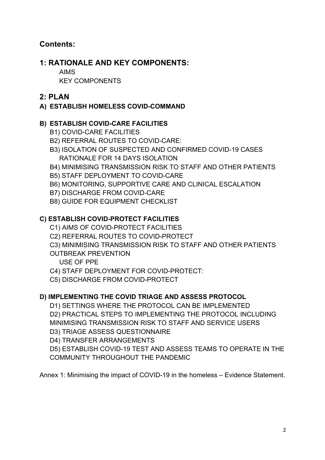# **Contents:**

# **1: RATIONALE AND KEY COMPONENTS:**

AIMS

KEY COMPONENTS

# **2: PLAN**

# **A) ESTABLISH HOMELESS COVID-COMMAND**

# **B) ESTABLISH COVID-CARE FACILITIES**

- B1) COVID-CARE FACILITIES
- B2) REFERRAL ROUTES TO COVID-CARE:
- B3) ISOLATION OF SUSPECTED AND CONFIRMED COVID-19 CASES RATIONALE FOR 14 DAYS ISOLATION
- B4) MINIMISING TRANSMISSION RISK TO STAFF AND OTHER PATIENTS
- B5) STAFF DEPLOYMENT TO COVID-CARE
- B6) MONITORING, SUPPORTIVE CARE AND CLINICAL ESCALATION
- B7) DISCHARGE FROM COVID-CARE
- B8) GUIDE FOR EQUIPMENT CHECKLIST

# **C) ESTABLISH COVID-PROTECT FACILITIES**

- C1) AIMS OF COVID-PROTECT FACILITIES
- C2) REFERRAL ROUTES TO COVID-PROTECT
- C3) MINIMISING TRANSMISSION RISK TO STAFF AND OTHER PATIENTS OUTBREAK PREVENTION
	- USE OF PPE
- C4) STAFF DEPLOYMENT FOR COVID-PROTECT:
- C5) DISCHARGE FROM COVID-PROTECT

# **D) IMPLEMENTING THE COVID TRIAGE AND ASSESS PROTOCOL**

D1) SETTINGS WHERE THE PROTOCOL CAN BE IMPLEMENTED

D2) PRACTICAL STEPS TO IMPLEMENTING THE PROTOCOL INCLUDING MINIMISING TRANSMISSION RISK TO STAFF AND SERVICE USERS

D3) TRIAGE ASSESS QUESTIONNAIRE

D4) TRANSFER ARRANGEMENTS

D5) ESTABLISH COVID-19 TEST AND ASSESS TEAMS TO OPERATE IN THE COMMUNITY THROUGHOUT THE PANDEMIC

Annex 1: Minimising the impact of COVID-19 in the homeless – Evidence Statement.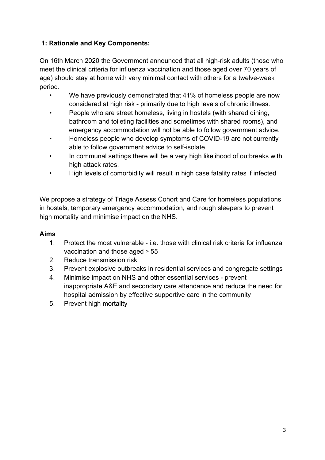# **1: Rationale and Key Components:**

On 16th March 2020 the Government announced that all high-risk adults (those who meet the clinical criteria for influenza vaccination and those aged over 70 years of age) should stay at home with very minimal contact with others for a twelve-week period.

- We have previously demonstrated that 41% of homeless people are now considered at high risk - primarily due to high levels of chronic illness.
- People who are street homeless, living in hostels (with shared dining, bathroom and toileting facilities and sometimes with shared rooms), and emergency accommodation will not be able to follow government advice.
- Homeless people who develop symptoms of COVID-19 are not currently able to follow government advice to self-isolate.
- In communal settings there will be a very high likelihood of outbreaks with high attack rates.
- High levels of comorbidity will result in high case fatality rates if infected

We propose a strategy of Triage Assess Cohort and Care for homeless populations in hostels, temporary emergency accommodation, and rough sleepers to prevent high mortality and minimise impact on the NHS.

# **Aims**

- 1. Protect the most vulnerable i.e. those with clinical risk criteria for influenza vaccination and those aged  $\geq 55$
- 2. Reduce transmission risk
- 3. Prevent explosive outbreaks in residential services and congregate settings
- 4. Minimise impact on NHS and other essential services prevent inappropriate A&E and secondary care attendance and reduce the need for hospital admission by effective supportive care in the community
- 5. Prevent high mortality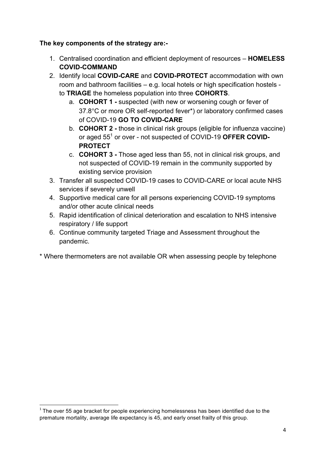#### **The key components of the strategy are:-**

- 1. Centralised coordination and efficient deployment of resources **HOMELESS COVID-COMMAND**
- 2. Identify local **COVID-CARE** and **COVID-PROTECT** accommodation with own room and bathroom facilities – e.g. local hotels or high specification hostels to **TRIAGE** the homeless population into three **COHORTS**.
	- a. **COHORT 1 -** suspected (with new or worsening cough or fever of 37.8°C or more OR self-reported fever\*) or laboratory confirmed cases of COVID-19 **GO TO COVID-CARE**
	- b. **COHORT 2 -** those in clinical risk groups (eligible for influenza vaccine) or aged 551 or over - not suspected of COVID-19 **OFFER COVID-PROTECT**
	- c. **COHORT 3 -** Those aged less than 55, not in clinical risk groups, and not suspected of COVID-19 remain in the community supported by existing service provision
- 3. Transfer all suspected COVID-19 cases to COVID-CARE or local acute NHS services if severely unwell
- 4. Supportive medical care for all persons experiencing COVID-19 symptoms and/or other acute clinical needs
- 5. Rapid identification of clinical deterioration and escalation to NHS intensive respiratory / life support
- 6. Continue community targeted Triage and Assessment throughout the pandemic.
- \* Where thermometers are not available OR when assessing people by telephone

<u> 1989 - Jan Samuel Barbara, margaret e</u>

 $1$  The over 55 age bracket for people experiencing homelessness has been identified due to the premature mortality, average life expectancy is 45, and early onset frailty of this group.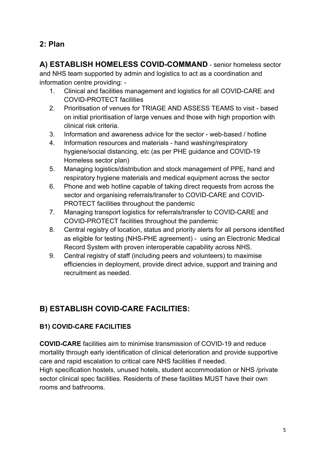# **2: Plan**

**A) ESTABLISH HOMELESS COVID-COMMAND** - senior homeless sector and NHS team supported by admin and logistics to act as a coordination and information centre providing: -

- 1. Clinical and facilities management and logistics for all COVID-CARE and COVID-PROTECT facilities
- 2. Prioritisation of venues for TRIAGE AND ASSESS TEAMS to visit based on initial prioritisation of large venues and those with high proportion with clinical risk criteria.
- 3. Information and awareness advice for the sector web-based / hotline
- 4. Information resources and materials hand washing/respiratory hygiene/social distancing, etc (as per PHE guidance and COVID-19 Homeless sector plan)
- 5. Managing logistics/distribution and stock management of PPE, hand and respiratory hygiene materials and medical equipment across the sector
- 6. Phone and web hotline capable of taking direct requests from across the sector and organising referrals/transfer to COVID-CARE and COVID-PROTECT facilities throughout the pandemic
- 7. Managing transport logistics for referrals/transfer to COVID-CARE and COVID-PROTECT facilities throughout the pandemic
- 8. Central registry of location, status and priority alerts for all persons identified as eligible for testing (NHS-PHE agreement) - using an Electronic Medical Record System with proven interoperable capability across NHS.
- 9. Central registry of staff (including peers and volunteers) to maximise efficiencies in deployment, provide direct advice, support and training and recruitment as needed.

# **B) ESTABLISH COVID-CARE FACILITIES:**

# **B1) COVID-CARE FACILITIES**

**COVID-CARE** facilities aim to minimise transmission of COVID-19 and reduce mortality through early identification of clinical deterioration and provide supportive care and rapid escalation to critical care NHS facilities if needed. High specification hostels, unused hotels, student accommodation or NHS /private sector clinical spec facilities. Residents of these facilities MUST have their own rooms and bathrooms.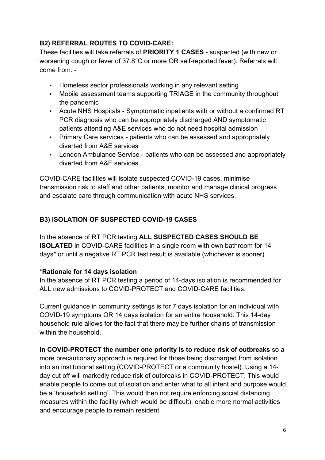# **B2) REFERRAL ROUTES TO COVID-CARE:**

These facilities will take referrals of **PRIORITY 1 CASES** - suspected (with new or worsening cough or fever of 37.8°C or more OR self-reported fever). Referrals will come from: -

- Homeless sector professionals working in any relevant setting
- Mobile assessment teams supporting TRIAGE in the community throughout the pandemic
- Acute NHS Hospitals Symptomatic inpatients with or without a confirmed RT PCR diagnosis who can be appropriately discharged AND symptomatic patients attending A&E services who do not need hospital admission
- Primary Care services patients who can be assessed and appropriately diverted from A&E services
- London Ambulance Service patients who can be assessed and appropriately diverted from A&E services

COVID-CARE facilities will isolate suspected COVID-19 cases, minimise transmission risk to staff and other patients, monitor and manage clinical progress and escalate care through communication with acute NHS services.

# **B3) ISOLATION OF SUSPECTED COVID-19 CASES**

In the absence of RT PCR testing **ALL SUSPECTED CASES SHOULD BE ISOLATED** in COVID-CARE facilities in a single room with own bathroom for 14 days\* or until a negative RT PCR test result is available (whichever is sooner).

# **\*Rationale for 14 days isolation**

In the absence of RT PCR testing a period of 14-days isolation is recommended for ALL new admissions to COVID-PROTECT and COVID-CARE facilities.

Current guidance in community settings is for 7 days isolation for an individual with COVID-19 symptoms OR 14 days isolation for an entire household. This 14-day household rule allows for the fact that there may be further chains of transmission within the household

# **In COVID-PROTECT the number one priority is to reduce risk of outbreaks** so a

more precautionary approach is required for those being discharged from isolation into an institutional setting (COVID-PROTECT or a community hostel). Using a 14 day cut off will markedly reduce risk of outbreaks in COVID-PROTECT. This would enable people to come out of isolation and enter what to all intent and purpose would be a 'household setting'. This would then not require enforcing social distancing measures within the facility (which would be difficult), enable more normal activities and encourage people to remain resident.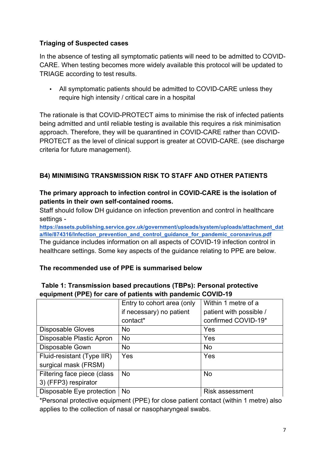# **Triaging of Suspected cases**

In the absence of testing all symptomatic patients will need to be admitted to COVID-CARE. When testing becomes more widely available this protocol will be updated to TRIAGE according to test results.

• All symptomatic patients should be admitted to COVID-CARE unless they require high intensity / critical care in a hospital

The rationale is that COVID-PROTECT aims to minimise the risk of infected patients being admitted and until reliable testing is available this requires a risk minimisation approach. Therefore, they will be quarantined in COVID-CARE rather than COVID-PROTECT as the level of clinical support is greater at COVID-CARE. (see discharge criteria for future management).

# **B4) MINIMISING TRANSMISSION RISK TO STAFF AND OTHER PATIENTS**

#### **The primary approach to infection control in COVID-CARE is the isolation of patients in their own self-contained rooms.**

Staff should follow DH guidance on infection prevention and control in healthcare settings -

**https://assets.publishing.service.gov.uk/government/uploads/system/uploads/attachment\_dat a/file/874316/Infection\_prevention\_and\_control\_guidance\_for\_pandemic\_coronavirus.pdf** The guidance includes information on all aspects of COVID-19 infection control in healthcare settings. Some key aspects of the guidance relating to PPE are below.

# **The recommended use of PPE is summarised below**

| equipment (FFE) for care or patients with pandemic COVID-19 |                            |                         |
|-------------------------------------------------------------|----------------------------|-------------------------|
|                                                             | Entry to cohort area (only | Within 1 metre of a     |
|                                                             | if necessary) no patient   | patient with possible / |
|                                                             | contact*                   | confirmed COVID-19*     |
| <b>Disposable Gloves</b>                                    | No.                        | Yes                     |
| Disposable Plastic Apron                                    | <b>No</b>                  | Yes                     |
| Disposable Gown                                             | No.                        | <b>No</b>               |
| Fluid-resistant (Type IIR)                                  | Yes                        | Yes                     |
| surgical mask (FRSM)                                        |                            |                         |
| Filtering face piece (class                                 | <b>No</b>                  | <b>No</b>               |
| 3) (FFP3) respirator                                        |                            |                         |
| Disposable Eye protection                                   | <b>No</b>                  | <b>Risk assessment</b>  |

#### **Table 1: Transmission based precautions (TBPs): Personal protective equipment (PPE) for care of patients with pandemic COVID-19**

\*Personal protective equipment (PPE) for close patient contact (within 1 metre) also applies to the collection of nasal or nasopharyngeal swabs.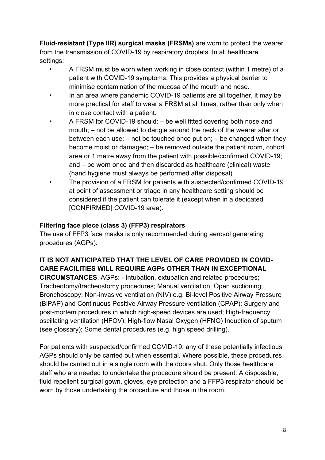**Fluid-resistant (Type IIR) surgical masks (FRSMs)** are worn to protect the wearer from the transmission of COVID-19 by respiratory droplets. In all healthcare settings:

- A FRSM must be worn when working in close contact (within 1 metre) of a patient with COVID-19 symptoms. This provides a physical barrier to minimise contamination of the mucosa of the mouth and nose.
- In an area where pandemic COVID-19 patients are all together, it may be more practical for staff to wear a FRSM at all times, rather than only when in close contact with a patient.
- A FRSM for COVID-19 should: be well fitted covering both nose and mouth; – not be allowed to dangle around the neck of the wearer after or between each use;  $-$  not be touched once put on;  $-$  be changed when they become moist or damaged; – be removed outside the patient room, cohort area or 1 metre away from the patient with possible/confirmed COVID-19; and – be worn once and then discarded as healthcare (clinical) waste (hand hygiene must always be performed after disposal)
- The provision of a FRSM for patients with suspected/confirmed COVID-19 at point of assessment or triage in any healthcare setting should be considered if the patient can tolerate it (except when in a dedicated [CONFIRMED] COVID-19 area).

#### **Filtering face piece (class 3) (FFP3) respirators**

The use of FFP3 face masks is only recommended during aerosol generating procedures (AGPs).

# **IT IS NOT ANTICIPATED THAT THE LEVEL OF CARE PROVIDED IN COVID-CARE FACILITIES WILL REQUIRE AGPs OTHER THAN IN EXCEPTIONAL**

**CIRCUMSTANCES**. AGPs: - Intubation, extubation and related procedures; Tracheotomy/tracheostomy procedures; Manual ventilation; Open suctioning; Bronchoscopy; Non-invasive ventilation (NIV) e.g. Bi-level Positive Airway Pressure (BiPAP) and Continuous Positive Airway Pressure ventilation (CPAP); Surgery and post-mortem procedures in which high-speed devices are used; High-frequency oscillating ventilation (HFOV); High-flow Nasal Oxygen (HFNO) Induction of sputum (see glossary); Some dental procedures (e.g. high speed drilling).

For patients with suspected/confirmed COVID-19, any of these potentially infectious AGPs should only be carried out when essential. Where possible, these procedures should be carried out in a single room with the doors shut. Only those healthcare staff who are needed to undertake the procedure should be present. A disposable, fluid repellent surgical gown, gloves, eye protection and a FFP3 respirator should be worn by those undertaking the procedure and those in the room.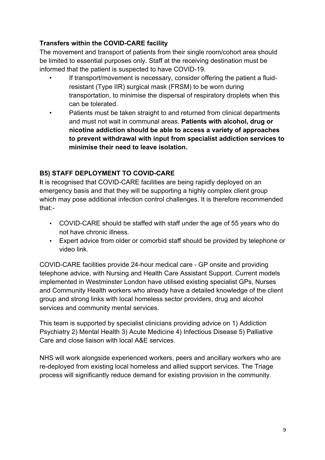# **Transfers within the COVID-CARE facility**

The movement and transport of patients from their single room/cohort area should be limited to essential purposes only. Staff at the receiving destination must be informed that the patient is suspected to have COVID-19.

- If transport/movement is necessary, consider offering the patient a fluidresistant (Type IIR) surgical mask (FRSM) to be worn during transportation, to minimise the dispersal of respiratory droplets when this can be tolerated.
- Patients must be taken straight to and returned from clinical departments and must not wait in communal areas. **Patients with alcohol, drug or nicotine addiction should be able to access a variety of approaches to prevent withdrawal with input from specialist addiction services to minimise their need to leave isolation.**

# **B5) STAFF DEPLOYMENT TO COVID-CARE**

**I**t is recognised that COVID-CARE facilities are being rapidly deployed on an emergency basis and that they will be supporting a highly complex client group which may pose additional infection control challenges. It is therefore recommended that:-

- COVID-CARE should be staffed with staff under the age of 55 years who do not have chronic illness.
- Expert advice from older or comorbid staff should be provided by telephone or video link.

COVID-CARE facilities provide 24-hour medical care - GP onsite and providing telephone advice, with Nursing and Health Care Assistant Support. Current models implemented in Westminster London have utilised existing specialist GPs, Nurses and Community Health workers who already have a detailed knowledge of the client group and strong links with local homeless sector providers, drug and alcohol services and community mental services.

This team is supported by specialist clinicians providing advice on 1) Addiction Psychiatry 2) Mental Health 3) Acute Medicine 4) Infectious Disease 5) Palliative Care and close liaison with local A&E services.

NHS will work alongside experienced workers, peers and ancillary workers who are re-deployed from existing local homeless and allied support services. The Triage process will significantly reduce demand for existing provision in the community.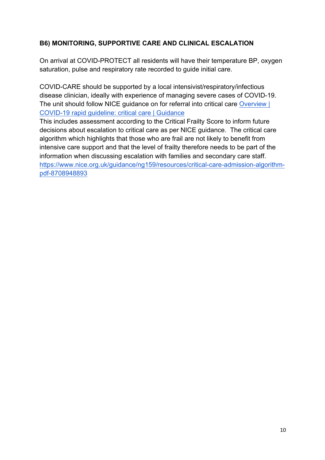# **B6) MONITORING, SUPPORTIVE CARE AND CLINICAL ESCALATION**

On arrival at COVID-PROTECT all residents will have their temperature BP, oxygen saturation, pulse and respiratory rate recorded to guide initial care.

COVID-CARE should be supported by a local intensivist/respiratory/infectious disease clinician, ideally with experience of managing severe cases of COVID-19. The unit should follow NICE guidance on for referral into critical care Overview | COVID-19 rapid guideline: critical care | Guidance

This includes assessment according to the Critical Frailty Score to inform future decisions about escalation to critical care as per NICE guidance. The critical care algorithm which highlights that those who are frail are not likely to benefit from intensive care support and that the level of frailty therefore needs to be part of the information when discussing escalation with families and secondary care staff. https://www.nice.org.uk/guidance/ng159/resources/critical-care-admission-algorithmpdf-8708948893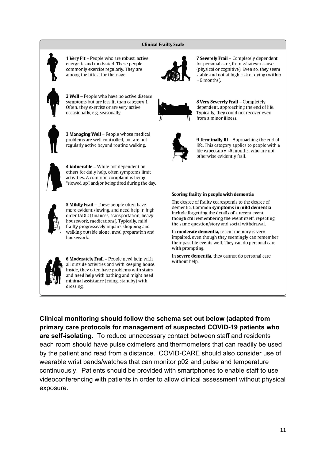#### **Clinical Frailty Scale**



7 Severely Frail - Completely dependent for personal care, from whatever cause (physical or cognitive). Even so, they seem stable and not at high risk of dying (within  $~5$  months).



8 Very Severely Frail - Completely dependent, approaching the end of life. Typically, they could not recover even from a minor illness.



9 Terminally III - Approaching the end of life. This category applies to people with a life expectancy <6 months, who are not otherwise evidently frail.

#### Scoring frailty in people with dementia

The degree of frailty corresponds to the degree of dementia. Common symptoms in mild dementia include forgetting the details of a recent event, though still remembering the event itself, repeating the same question/story and social withdrawal.

In moderate dementia, recent memory is very impaired, even though they seemingly can remember their past life events well. They can do personal care with prompting.

In severe dementia, they cannot do personal care without help.



1 Very Fit - People who are robust, active,

2 Well - People who have no active disease symptoms but are less fit than category 1.

Often, they exercise or are very active occasionally, e.g. seasonally.

energetic and motivated. These people

commonly exercise regularly. They are

among the fittest for their age.



4 Vulnerable - While not dependent on others for daily help, often symptoms limit activities. A common complaint is being "slowed up", and/or being tired during the day.



5 Mildly Frail - These people often have more evident slowing, and need help in high order IADLs (finances, transportation, heavy housework, medications). Typically, mild frailty progressively impairs shopping and walking outside alone, meal preparation and housework.



6 Moderately Frail - People need help with all outside activities and with keeping house. Inside, they often have problems with stairs and need help with bathing and might need minimal assistance (cuing, standby) with dressing.

**Clinical monitoring should follow the schema set out below (adapted from primary care protocols for management of suspected COVID-19 patients who are self-isolating.** To reduce unnecessary contact between staff and residents each room should have pulse oximeters and thermometers that can readily be used by the patient and read from a distance. COVID-CARE should also consider use of wearable wrist bands/watches that can monitor p02 and pulse and temperature continuously. Patients should be provided with smartphones to enable staff to use videoconferencing with patients in order to allow clinical assessment without physical exposure.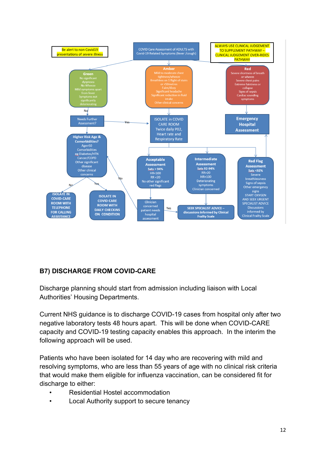

# **B7) DISCHARGE FROM COVID-CARE**

Discharge planning should start from admission including liaison with Local Authorities' Housing Departments.

Current NHS guidance is to discharge COVID-19 cases from hospital only after two negative laboratory tests 48 hours apart. This will be done when COVID-CARE capacity and COVID-19 testing capacity enables this approach. In the interim the following approach will be used.

Patients who have been isolated for 14 day who are recovering with mild and resolving symptoms, who are less than 55 years of age with no clinical risk criteria that would make them eligible for influenza vaccination, can be considered fit for discharge to either:

- Residential Hostel accommodation
- Local Authority support to secure tenancy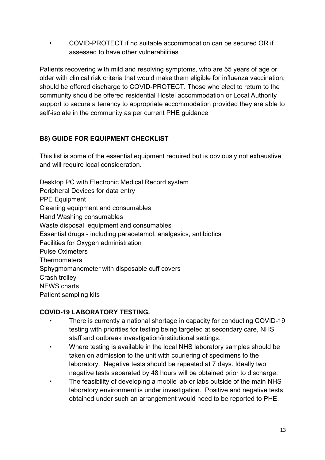• COVID-PROTECT if no suitable accommodation can be secured OR if assessed to have other vulnerabilities

Patients recovering with mild and resolving symptoms, who are 55 years of age or older with clinical risk criteria that would make them eligible for influenza vaccination, should be offered discharge to COVID-PROTECT. Those who elect to return to the community should be offered residential Hostel accommodation or Local Authority support to secure a tenancy to appropriate accommodation provided they are able to self-isolate in the community as per current PHE guidance

# **B8) GUIDE FOR EQUIPMENT CHECKLIST**

This list is some of the essential equipment required but is obviously not exhaustive and will require local consideration.

Desktop PC with Electronic Medical Record system Peripheral Devices for data entry PPE Equipment Cleaning equipment and consumables Hand Washing consumables Waste disposal equipment and consumables Essential drugs - including paracetamol, analgesics, antibiotics Facilities for Oxygen administration Pulse Oximeters **Thermometers** Sphygmomanometer with disposable cuff covers Crash trolley NEWS charts Patient sampling kits

# **COVID-19 LABORATORY TESTING.**

- There is currently a national shortage in capacity for conducting COVID-19 testing with priorities for testing being targeted at secondary care, NHS staff and outbreak investigation/institutional settings.
- Where testing is available in the local NHS laboratory samples should be taken on admission to the unit with couriering of specimens to the laboratory. Negative tests should be repeated at 7 days. Ideally two negative tests separated by 48 hours will be obtained prior to discharge.
- The feasibility of developing a mobile lab or labs outside of the main NHS laboratory environment is under investigation. Positive and negative tests obtained under such an arrangement would need to be reported to PHE.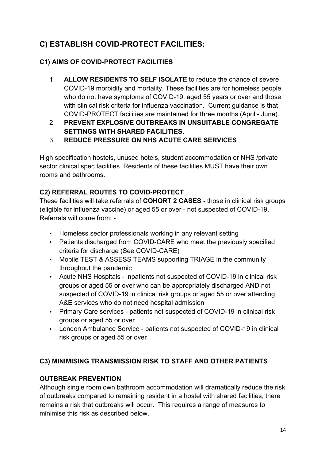# **C) ESTABLISH COVID-PROTECT FACILITIES:**

# **C1) AIMS OF COVID-PROTECT FACILITIES**

- 1. **ALLOW RESIDENTS TO SELF ISOLATE** to reduce the chance of severe COVID-19 morbidity and mortality. These facilities are for homeless people, who do not have symptoms of COVID-19, aged 55 years or over and those with clinical risk criteria for influenza vaccination. Current guidance is that COVID-PROTECT facilities are maintained for three months (April - June).
- 2. **PREVENT EXPLOSIVE OUTBREAKS IN UNSUITABLE CONGREGATE SETTINGS WITH SHARED FACILITIES.**
- 3. **REDUCE PRESSURE ON NHS ACUTE CARE SERVICES**

High specification hostels, unused hotels, student accommodation or NHS /private sector clinical spec facilities. Residents of these facilities MUST have their own rooms and bathrooms.

# **C2) REFERRAL ROUTES TO COVID-PROTECT**

These facilities will take referrals of **COHORT 2 CASES -** those in clinical risk groups (eligible for influenza vaccine) or aged 55 or over - not suspected of COVID-19. Referrals will come from: -

- Homeless sector professionals working in any relevant setting
- Patients discharged from COVID-CARE who meet the previously specified criteria for discharge (See COVID-CARE)
- Mobile TEST & ASSESS TEAMS supporting TRIAGE in the community throughout the pandemic
- Acute NHS Hospitals inpatients not suspected of COVID-19 in clinical risk groups or aged 55 or over who can be appropriately discharged AND not suspected of COVID-19 in clinical risk groups or aged 55 or over attending A&E services who do not need hospital admission
- Primary Care services patients not suspected of COVID-19 in clinical risk groups or aged 55 or over
- London Ambulance Service patients not suspected of COVID-19 in clinical risk groups or aged 55 or over

# **C3) MINIMISING TRANSMISSION RISK TO STAFF AND OTHER PATIENTS**

# **OUTBREAK PREVENTION**

Although single room own bathroom accommodation will dramatically reduce the risk of outbreaks compared to remaining resident in a hostel with shared facilities, there remains a risk that outbreaks will occur. This requires a range of measures to minimise this risk as described below.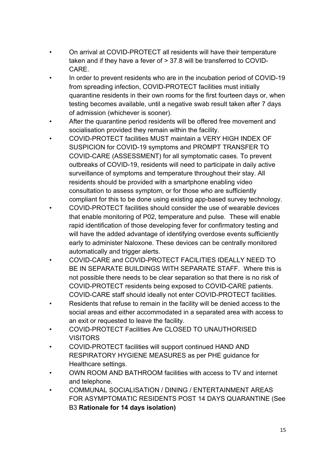- On arrival at COVID-PROTECT all residents will have their temperature taken and if they have a fever of > 37.8 will be transferred to COVID-CARE.
- In order to prevent residents who are in the incubation period of COVID-19 from spreading infection, COVID-PROTECT facilities must initially quarantine residents in their own rooms for the first fourteen days or, when testing becomes available, until a negative swab result taken after 7 days of admission (whichever is sooner).
- After the quarantine period residents will be offered free movement and socialisation provided they remain within the facility.
- COVID-PROTECT facilities MUST maintain a VERY HIGH INDEX OF SUSPICION for COVID-19 symptoms and PROMPT TRANSFER TO COVID-CARE (ASSESSMENT) for all symptomatic cases. To prevent outbreaks of COVID-19, residents will need to participate in daily active surveillance of symptoms and temperature throughout their stay. All residents should be provided with a smartphone enabling video consultation to assess symptom, or for those who are sufficiently compliant for this to be done using existing app-based survey technology.
- COVID-PROTECT facilities should consider the use of wearable devices that enable monitoring of P02, temperature and pulse. These will enable rapid identification of those developing fever for confirmatory testing and will have the added advantage of identifying overdose events sufficiently early to administer Naloxone. These devices can be centrally monitored automatically and trigger alerts.
- COVID-CARE and COVID-PROTECT FACILITIES IDEALLY NEED TO BE IN SEPARATE BUILDINGS WITH SEPARATE STAFF. Where this is not possible there needs to be clear separation so that there is no risk of COVID-PROTECT residents being exposed to COVID-CARE patients. COVID-CARE staff should ideally not enter COVID-PROTECT facilities.
- Residents that refuse to remain in the facility will be denied access to the social areas and either accommodated in a separated area with access to an exit or requested to leave the facility.
- COVID-PROTECT Facilities Are CLOSED TO UNAUTHORISED VISITORS
- COVID-PROTECT facilities will support continued HAND AND RESPIRATORY HYGIENE MEASURES as per PHE guidance for Healthcare settings.
- OWN ROOM AND BATHROOM facilities with access to TV and internet and telephone.
- COMMUNAL SOCIALISATION / DINING / ENTERTAINMENT AREAS FOR ASYMPTOMATIC RESIDENTS POST 14 DAYS QUARANTINE (See B3 **Rationale for 14 days isolation)**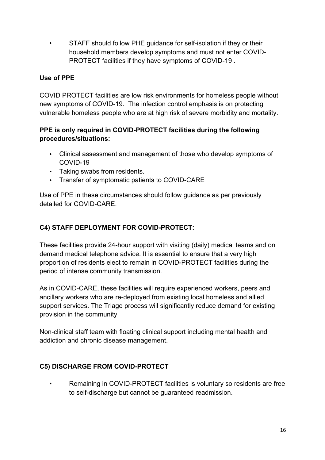• STAFF should follow PHE guidance for self-isolation if they or their household members develop symptoms and must not enter COVID-PROTECT facilities if they have symptoms of COVID-19 .

# **Use of PPE**

COVID PROTECT facilities are low risk environments for homeless people without new symptoms of COVID-19. The infection control emphasis is on protecting vulnerable homeless people who are at high risk of severe morbidity and mortality.

# **PPE is only required in COVID-PROTECT facilities during the following procedures/situations:**

- Clinical assessment and management of those who develop symptoms of COVID-19
- Taking swabs from residents.
- Transfer of symptomatic patients to COVID-CARE

Use of PPE in these circumstances should follow guidance as per previously detailed for COVID-CARE.

# **C4) STAFF DEPLOYMENT FOR COVID-PROTECT:**

These facilities provide 24-hour support with visiting (daily) medical teams and on demand medical telephone advice. It is essential to ensure that a very high proportion of residents elect to remain in COVID-PROTECT facilities during the period of intense community transmission.

As in COVID-CARE, these facilities will require experienced workers, peers and ancillary workers who are re-deployed from existing local homeless and allied support services. The Triage process will significantly reduce demand for existing provision in the community

Non-clinical staff team with floating clinical support including mental health and addiction and chronic disease management.

# **C5) DISCHARGE FROM COVID-PROTECT**

• Remaining in COVID-PROTECT facilities is voluntary so residents are free to self-discharge but cannot be guaranteed readmission.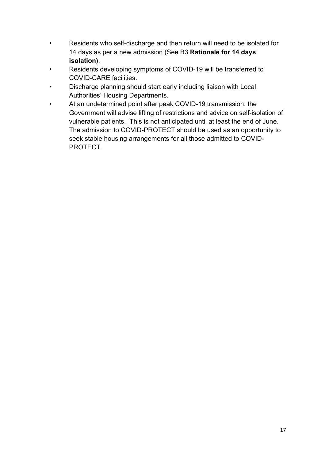- Residents who self-discharge and then return will need to be isolated for 14 days as per a new admission (See B3 **Rationale for 14 days isolation)**.
- Residents developing symptoms of COVID-19 will be transferred to COVID-CARE facilities.
- Discharge planning should start early including liaison with Local Authorities' Housing Departments.
- At an undetermined point after peak COVID-19 transmission, the Government will advise lifting of restrictions and advice on self-isolation of vulnerable patients. This is not anticipated until at least the end of June. The admission to COVID-PROTECT should be used as an opportunity to seek stable housing arrangements for all those admitted to COVID-**PROTECT**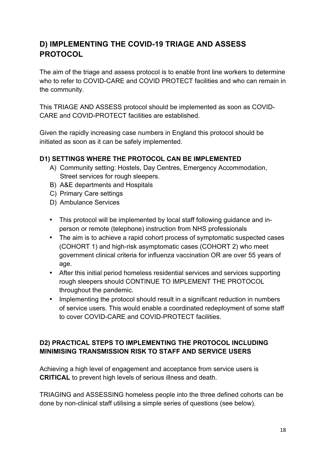# **D) IMPLEMENTING THE COVID-19 TRIAGE AND ASSESS PROTOCOL**

The aim of the triage and assess protocol is to enable front line workers to determine who to refer to COVID-CARE and COVID PROTECT facilities and who can remain in the community.

This TRIAGE AND ASSESS protocol should be implemented as soon as COVID-CARE and COVID-PROTECT facilities are established.

Given the rapidly increasing case numbers in England this protocol should be initiated as soon as it can be safely implemented.

# **D1) SETTINGS WHERE THE PROTOCOL CAN BE IMPLEMENTED**

- A) Community setting: Hostels, Day Centres, Emergency Accommodation, Street services for rough sleepers.
- B) A&E departments and Hospitals
- C) Primary Care settings
- D) Ambulance Services
- This protocol will be implemented by local staff following guidance and inperson or remote (telephone) instruction from NHS professionals
- The aim is to achieve a rapid cohort process of symptomatic suspected cases (COHORT 1) and high-risk asymptomatic cases (COHORT 2) who meet government clinical criteria for influenza vaccination OR are over 55 years of age.
- After this initial period homeless residential services and services supporting rough sleepers should CONTINUE TO IMPLEMENT THE PROTOCOL throughout the pandemic.
- Implementing the protocol should result in a significant reduction in numbers of service users. This would enable a coordinated redeployment of some staff to cover COVID-CARE and COVID-PROTECT facilities.

# **D2) PRACTICAL STEPS TO IMPLEMENTING THE PROTOCOL INCLUDING MINIMISING TRANSMISSION RISK TO STAFF AND SERVICE USERS**

Achieving a high level of engagement and acceptance from service users is **CRITICAL** to prevent high levels of serious illness and death.

TRIAGING and ASSESSING homeless people into the three defined cohorts can be done by non-clinical staff utilising a simple series of questions (see below).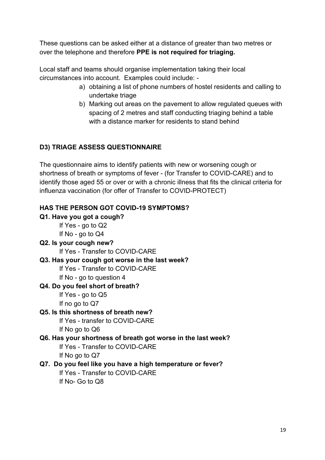These questions can be asked either at a distance of greater than two metres or over the telephone and therefore **PPE is not required for triaging.**

Local staff and teams should organise implementation taking their local circumstances into account. Examples could include: -

- a) obtaining a list of phone numbers of hostel residents and calling to undertake triage
- b) Marking out areas on the pavement to allow regulated queues with spacing of 2 metres and staff conducting triaging behind a table with a distance marker for residents to stand behind

# **D3) TRIAGE ASSESS QUESTIONNAIRE**

The questionnaire aims to identify patients with new or worsening cough or shortness of breath or symptoms of fever - (for Transfer to COVID-CARE) and to identify those aged 55 or over or with a chronic illness that fits the clinical criteria for influenza vaccination (for offer of Transfer to COVID-PROTECT)

# **HAS THE PERSON GOT COVID-19 SYMPTOMS?**

#### **Q1. Have you got a cough?**

If Yes - go to Q2 If No - go to Q4

**Q2. Is your cough new?** 

If Yes - Transfer to COVID-CARE

#### **Q3. Has your cough got worse in the last week?**

If Yes - Transfer to COVID-CARE

If No - go to question 4

#### **Q4. Do you feel short of breath?**

If Yes - go to Q5

If no go to Q7

# **Q5. Is this shortness of breath new?**

If Yes - transfer to COVID-CARE

If No go to Q6

# **Q6. Has your shortness of breath got worse in the last week?**

If Yes - Transfer to COVID-CARE

If No go to Q7

# **Q7. Do you feel like you have a high temperature or fever?**

If Yes - Transfer to COVID-CARE If No- Go to Q8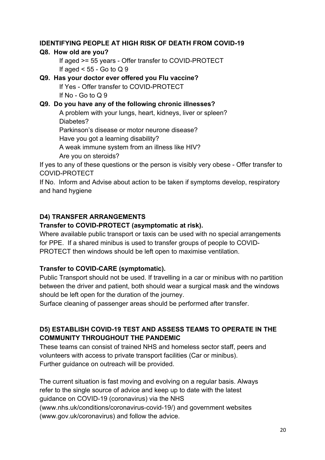#### **IDENTIFYING PEOPLE AT HIGH RISK OF DEATH FROM COVID-19**

#### **Q8. How old are you?**

If aged >= 55 years - Offer transfer to COVID-PROTECT If aged  $<$  55 - Go to Q 9

#### **Q9. Has your doctor ever offered you Flu vaccine?**

If Yes - Offer transfer to COVID-PROTECT If No - Go to  $Q$  9

#### **Q9. Do you have any of the following chronic illnesses?**

A problem with your lungs, heart, kidneys, liver or spleen? Diabetes?

Parkinson's disease or motor neurone disease?

Have you got a learning disability?

A weak immune system from an illness like HIV?

Are you on steroids?

If yes to any of these questions or the person is visibly very obese - Offer transfer to COVID-PROTECT

If No. Inform and Advise about action to be taken if symptoms develop, respiratory and hand hygiene

#### **D4) TRANSFER ARRANGEMENTS**

#### **Transfer to COVID-PROTECT (asymptomatic at risk).**

Where available public transport or taxis can be used with no special arrangements for PPE. If a shared minibus is used to transfer groups of people to COVID-PROTECT then windows should be left open to maximise ventilation.

#### **Transfer to COVID-CARE (symptomatic).**

Public Transport should not be used. If travelling in a car or minibus with no partition between the driver and patient, both should wear a surgical mask and the windows should be left open for the duration of the journey.

Surface cleaning of passenger areas should be performed after transfer.

# **D5) ESTABLISH COVID-19 TEST AND ASSESS TEAMS TO OPERATE IN THE COMMUNITY THROUGHOUT THE PANDEMIC**

These teams can consist of trained NHS and homeless sector staff, peers and volunteers with access to private transport facilities (Car or minibus). Further guidance on outreach will be provided.

The current situation is fast moving and evolving on a regular basis. Always refer to the single source of advice and keep up to date with the latest guidance on COVID-19 (coronavirus) via the NHS (www.nhs.uk/conditions/coronavirus-covid-19/) and government websites (www.gov.uk/coronavirus) and follow the advice.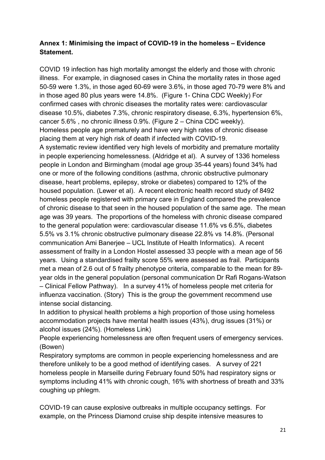# **Annex 1: Minimising the impact of COVID-19 in the homeless – Evidence Statement.**

COVID 19 infection has high mortality amongst the elderly and those with chronic illness. For example, in diagnosed cases in China the mortality rates in those aged 50-59 were 1.3%, in those aged 60-69 were 3.6%, in those aged 70-79 were 8% and in those aged 80 plus years were 14.8%. (Figure 1- China CDC Weekly) For confirmed cases with chronic diseases the mortality rates were: cardiovascular disease 10.5%, diabetes 7.3%, chronic respiratory disease, 6.3%, hypertension 6%, cancer 5.6% , no chronic illness 0.9%. (Figure 2 – China CDC weekly). Homeless people age prematurely and have very high rates of chronic disease placing them at very high risk of death if infected with COVID-19.

A systematic review identified very high levels of morbidity and premature mortality in people experiencing homelessness. (Aldridge et al). A survey of 1336 homeless people in London and Birmingham (modal age group 35-44 years) found 34% had one or more of the following conditions (asthma, chronic obstructive pulmonary disease, heart problems, epilepsy, stroke or diabetes) compared to 12% of the housed population. (Lewer et al). A recent electronic health record study of 8492 homeless people registered with primary care in England compared the prevalence of chronic disease to that seen in the housed population of the same age. The mean age was 39 years. The proportions of the homeless with chronic disease compared to the general population were: cardiovascular disease 11.6% vs 6.5%, diabetes 5.5% vs 3.1% chronic obstructive pulmonary disease 22.8% vs 14.8%. (Personal communication Ami Banerjee – UCL Institute of Health Informatics). A recent assessment of frailty in a London Hostel assessed 33 people with a mean age of 56 years. Using a standardised frailty score 55% were assessed as frail. Participants met a mean of 2.6 out of 5 frailty phenotype criteria, comparable to the mean for 89 year olds in the general population (personal communication Dr Rafi Rogans-Watson – Clinical Fellow Pathway). In a survey 41% of homeless people met criteria for influenza vaccination. (Story) This is the group the government recommend use intense social distancing.

In addition to physical health problems a high proportion of those using homeless accommodation projects have mental health issues (43%), drug issues (31%) or alcohol issues (24%). (Homeless Link)

People experiencing homelessness are often frequent users of emergency services. (Bowen)

Respiratory symptoms are common in people experiencing homelessness and are therefore unlikely to be a good method of identifying cases. A survey of 221 homeless people in Marseille during February found 50% had respiratory signs or symptoms including 41% with chronic cough, 16% with shortness of breath and 33% coughing up phlegm.

COVID-19 can cause explosive outbreaks in multiple occupancy settings. For example, on the Princess Diamond cruise ship despite intensive measures to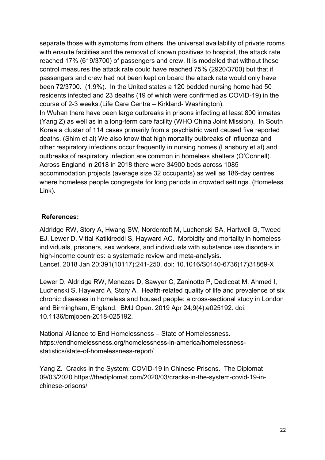separate those with symptoms from others, the universal availability of private rooms with ensuite facilities and the removal of known positives to hospital, the attack rate reached 17% (619/3700) of passengers and crew. It is modelled that without these control measures the attack rate could have reached 75% (2920/3700) but that if passengers and crew had not been kept on board the attack rate would only have been 72/3700. (1.9%). In the United states a 120 bedded nursing home had 50 residents infected and 23 deaths (19 of which were confirmed as COVID-19) in the course of 2-3 weeks.(Life Care Centre – Kirkland- Washington). In Wuhan there have been large outbreaks in prisons infecting at least 800 inmates (Yang Z) as well as in a long-term care facility (WHO China Joint Mission). In South Korea a cluster of 114 cases primarily from a psychiatric ward caused five reported

deaths. (Shim et al) We also know that high mortality outbreaks of influenza and other respiratory infections occur frequently in nursing homes (Lansbury et al) and outbreaks of respiratory infection are common in homeless shelters (O'Connell). Across England in 2018 in 2018 there were 34900 beds across 1085 accommodation projects (average size 32 occupants) as well as 186-day centres where homeless people congregate for long periods in crowded settings. (Homeless Link).

#### **References:**

Aldridge RW, Story A, Hwang SW, Nordentoft M, Luchenski SA, Hartwell G, Tweed EJ, Lewer D, Vittal Katikireddi S, Hayward AC. Morbidity and mortality in homeless individuals, prisoners, sex workers, and individuals with substance use disorders in high-income countries: a systematic review and meta-analysis. Lancet. 2018 Jan 20;391(10117):241-250. doi: 10.1016/S0140-6736(17)31869-X

Lewer D, Aldridge RW, Menezes D, Sawyer C, Zaninotto P, Dedicoat M, Ahmed I, Luchenski S, Hayward A, Story A. Health-related quality of life and prevalence of six chronic diseases in homeless and housed people: a cross-sectional study in London and Birmingham, England. BMJ Open. 2019 Apr 24;9(4):e025192. doi: 10.1136/bmjopen-2018-025192.

National Alliance to End Homelessness – State of Homelessness. https://endhomelessness.org/homelessness-in-america/homelessnessstatistics/state-of-homelessness-report/

Yang Z. Cracks in the System: COVID-19 in Chinese Prisons. The Diplomat 09/03/2020 https://thediplomat.com/2020/03/cracks-in-the-system-covid-19-inchinese-prisons/